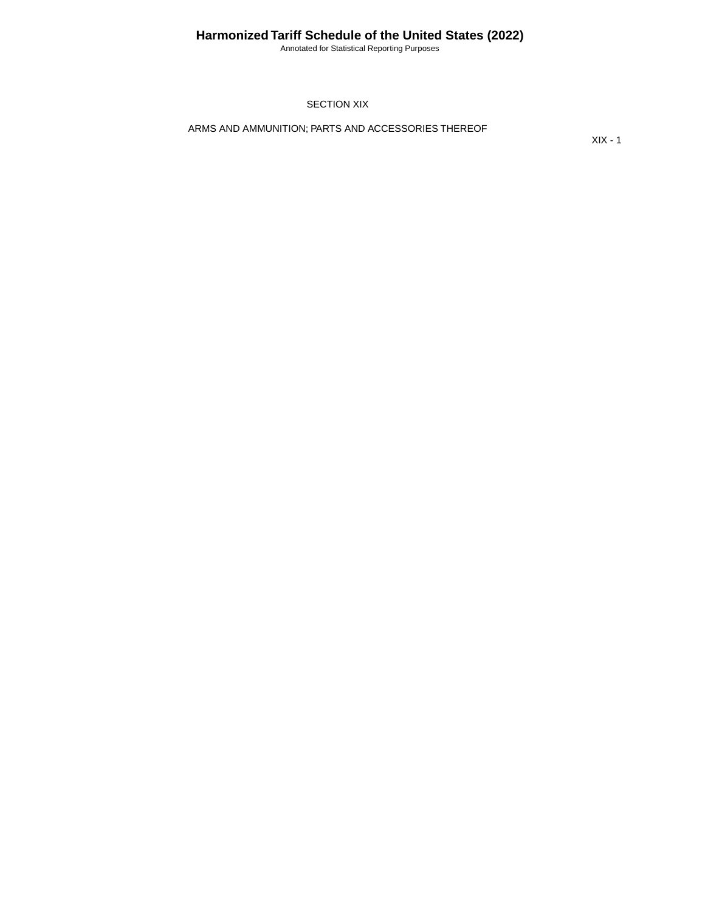Annotated for Statistical Reporting Purposes

SECTION XIX

ARMS AND AMMUNITION; PARTS AND ACCESSORIES THEREOF

XIX - 1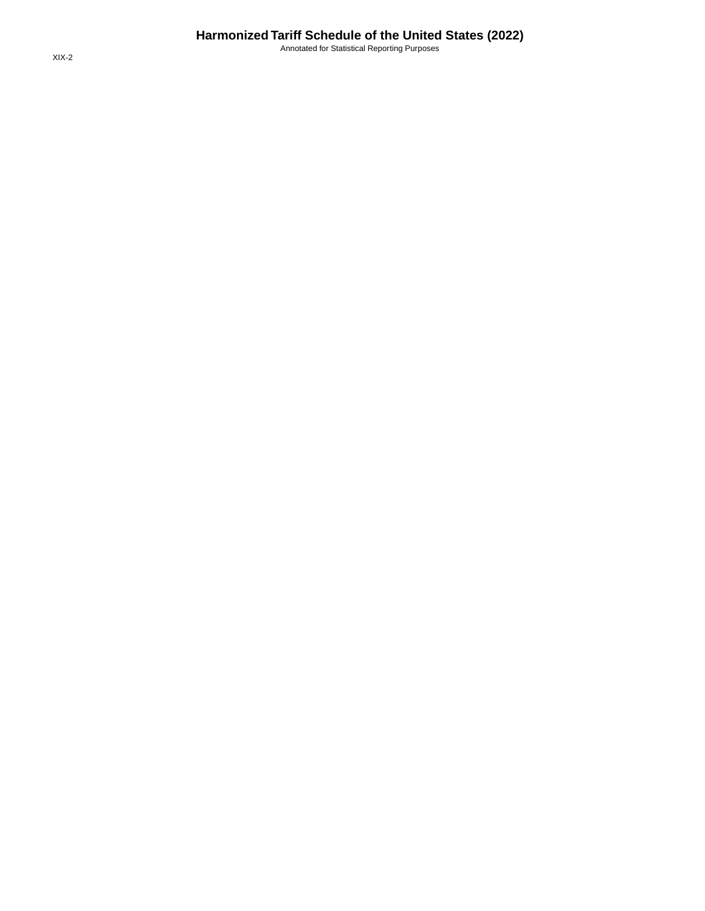Annotated for Statistical Reporting Purposes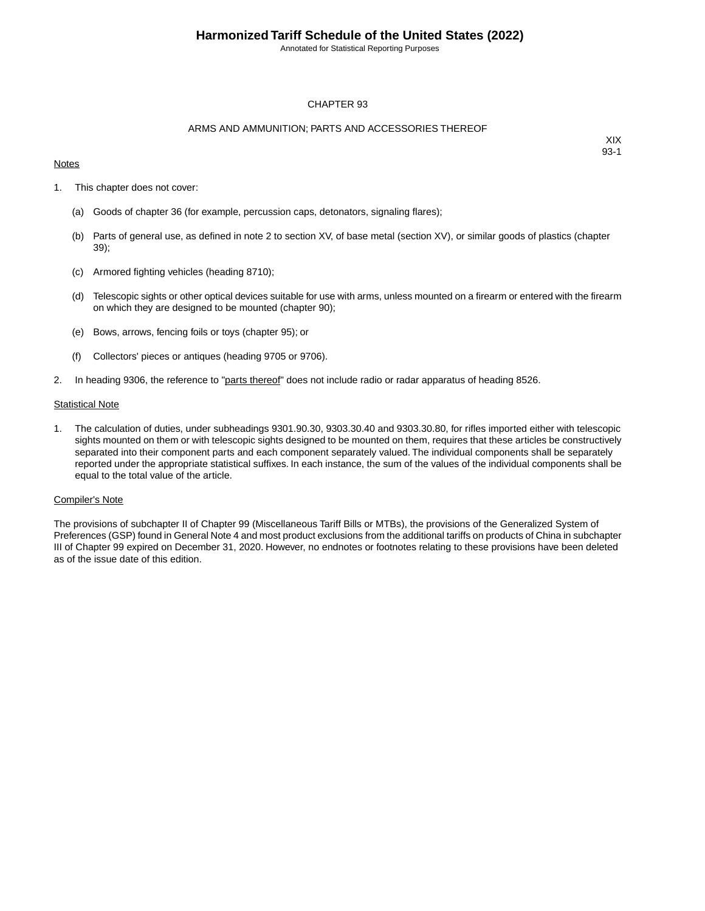Annotated for Statistical Reporting Purposes

### CHAPTER 93

### ARMS AND AMMUNITION; PARTS AND ACCESSORIES THEREOF

### **Notes**

XIX 93-1

- 1. This chapter does not cover:
	- (a) Goods of chapter 36 (for example, percussion caps, detonators, signaling flares);
	- (b) Parts of general use, as defined in note 2 to section XV, of base metal (section XV), or similar goods of plastics (chapter 39);
	- (c) Armored fighting vehicles (heading 8710);
	- (d) Telescopic sights or other optical devices suitable for use with arms, unless mounted on a firearm or entered with the firearm on which they are designed to be mounted (chapter 90);
	- (e) Bows, arrows, fencing foils or toys (chapter 95); or
	- (f) Collectors' pieces or antiques (heading 9705 or 9706).
- 2. In heading 9306, the reference to "parts thereof" does not include radio or radar apparatus of heading 8526.

#### **Statistical Note**

1. The calculation of duties, under subheadings 9301.90.30, 9303.30.40 and 9303.30.80, for rifles imported either with telescopic sights mounted on them or with telescopic sights designed to be mounted on them, requires that these articles be constructively separated into their component parts and each component separately valued. The individual components shall be separately reported under the appropriate statistical suffixes. In each instance, the sum of the values of the individual components shall be equal to the total value of the article.

#### Compiler's Note

The provisions of subchapter II of Chapter 99 (Miscellaneous Tariff Bills or MTBs), the provisions of the Generalized System of Preferences (GSP) found in General Note 4 and most product exclusions from the additional tariffs on products of China in subchapter III of Chapter 99 expired on December 31, 2020. However, no endnotes or footnotes relating to these provisions have been deleted as of the issue date of this edition.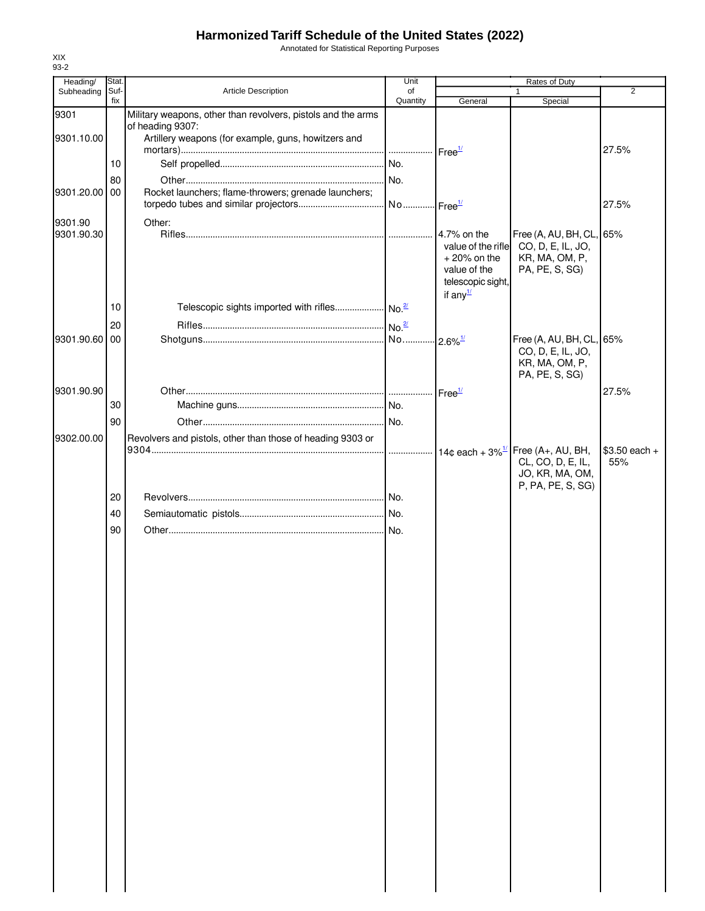Annotated for Statistical Reporting Purposes

| Heading/      | Stat.       |                                                              | Unit           | Rates of Duty                             |                                                                  |                |
|---------------|-------------|--------------------------------------------------------------|----------------|-------------------------------------------|------------------------------------------------------------------|----------------|
| Subheading    | Suf-<br>fix | <b>Article Description</b>                                   | of<br>Quantity | General                                   | $\mathbf{1}$<br>Special                                          | $\overline{2}$ |
| 9301          |             | Military weapons, other than revolvers, pistols and the arms |                |                                           |                                                                  |                |
|               |             | of heading 9307:                                             |                |                                           |                                                                  |                |
| 9301.10.00    |             | Artillery weapons (for example, guns, howitzers and          |                |                                           |                                                                  | 27.5%          |
|               | 10          |                                                              |                |                                           |                                                                  |                |
|               | 80          |                                                              |                |                                           |                                                                  |                |
| 9301.20.00    | 00          | Rocket launchers; flame-throwers; grenade launchers;         |                |                                           |                                                                  |                |
|               |             |                                                              |                |                                           |                                                                  | 27.5%          |
| 9301.90       |             | Other:                                                       |                |                                           |                                                                  |                |
| 9301.90.30    |             |                                                              |                | 4.7% on the                               | Free (A, AU, BH, CL, 65%<br>value of the rifle CO, D, E, IL, JO, |                |
|               |             |                                                              |                | $+20\%$ on the                            | KR, MA, OM, P,                                                   |                |
|               |             |                                                              |                | value of the                              | PA, PE, S, SG)                                                   |                |
|               |             |                                                              |                | telescopic sight,<br>if any $\frac{1}{2}$ |                                                                  |                |
|               | 10          |                                                              |                |                                           |                                                                  |                |
|               | 20          |                                                              |                |                                           |                                                                  |                |
| 9301.90.60 00 |             |                                                              |                |                                           | Free (A, AU, BH, CL, 65%                                         |                |
|               |             |                                                              |                |                                           | CO, D, E, IL, JO,                                                |                |
|               |             |                                                              |                |                                           | KR, MA, OM, P,<br>PA, PE, S, SG)                                 |                |
| 9301.90.90    |             |                                                              |                | Free <sup>1/</sup>                        |                                                                  | 27.5%          |
|               | 30          |                                                              |                |                                           |                                                                  |                |
|               | 90          |                                                              |                |                                           |                                                                  |                |
| 9302.00.00    |             | Revolvers and pistols, other than those of heading 9303 or   |                |                                           |                                                                  |                |
|               |             |                                                              |                |                                           |                                                                  | $$3.50$ each + |
|               |             |                                                              |                |                                           | CL, CO, D, E, IL,<br>JO, KR, MA, OM,                             | 55%            |
|               |             |                                                              |                |                                           | P, PA, PE, S, SG)                                                |                |
|               | 20          |                                                              |                |                                           |                                                                  |                |
|               | 40          |                                                              |                |                                           |                                                                  |                |
|               | 90          |                                                              |                |                                           |                                                                  |                |
|               |             |                                                              |                |                                           |                                                                  |                |
|               |             |                                                              |                |                                           |                                                                  |                |
|               |             |                                                              |                |                                           |                                                                  |                |
|               |             |                                                              |                |                                           |                                                                  |                |
|               |             |                                                              |                |                                           |                                                                  |                |
|               |             |                                                              |                |                                           |                                                                  |                |
|               |             |                                                              |                |                                           |                                                                  |                |
|               |             |                                                              |                |                                           |                                                                  |                |
|               |             |                                                              |                |                                           |                                                                  |                |
|               |             |                                                              |                |                                           |                                                                  |                |
|               |             |                                                              |                |                                           |                                                                  |                |
|               |             |                                                              |                |                                           |                                                                  |                |
|               |             |                                                              |                |                                           |                                                                  |                |
|               |             |                                                              |                |                                           |                                                                  |                |
|               |             |                                                              |                |                                           |                                                                  |                |
|               |             |                                                              |                |                                           |                                                                  |                |
|               |             |                                                              |                |                                           |                                                                  |                |
|               |             |                                                              |                |                                           |                                                                  |                |
|               |             |                                                              |                |                                           |                                                                  |                |
|               |             |                                                              |                |                                           |                                                                  |                |
|               |             |                                                              |                |                                           |                                                                  |                |
|               |             |                                                              |                |                                           |                                                                  |                |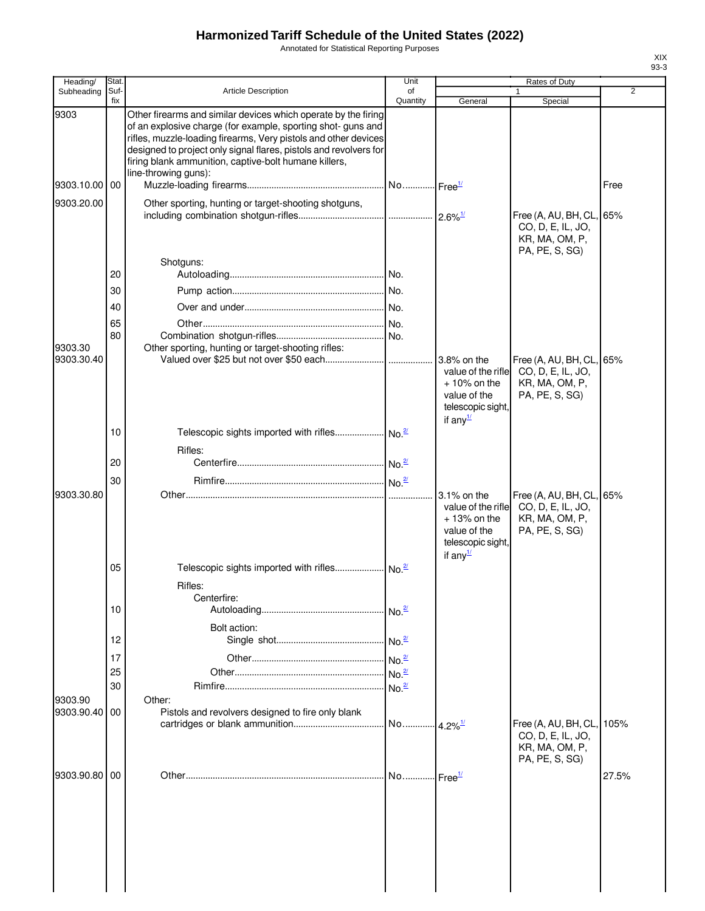Annotated for Statistical Reporting Purposes

| Heading/              | Stat.       |                                                                                                                                                                                                                                                                                                                                                         | Unit              |                                                                                                                  | Rates of Duty                                                                     |                |
|-----------------------|-------------|---------------------------------------------------------------------------------------------------------------------------------------------------------------------------------------------------------------------------------------------------------------------------------------------------------------------------------------------------------|-------------------|------------------------------------------------------------------------------------------------------------------|-----------------------------------------------------------------------------------|----------------|
| Subheading            | Suf-<br>fix | Article Description                                                                                                                                                                                                                                                                                                                                     | of<br>Quantity    | General                                                                                                          | 1<br>Special                                                                      | $\overline{2}$ |
| 9303                  |             | Other firearms and similar devices which operate by the firing<br>of an explosive charge (for example, sporting shot- guns and<br>rifles, muzzle-loading firearms, Very pistols and other devices<br>designed to project only signal flares, pistols and revolvers for<br>firing blank ammunition, captive-bolt humane killers,<br>line-throwing guns): |                   |                                                                                                                  |                                                                                   |                |
| 9303.10.00            | 00          |                                                                                                                                                                                                                                                                                                                                                         |                   |                                                                                                                  |                                                                                   | Free           |
| 9303.20.00            |             | Other sporting, hunting or target-shooting shotguns,                                                                                                                                                                                                                                                                                                    |                   |                                                                                                                  | Free (A, AU, BH, CL, 65%<br>CO, D, E, IL, JO,<br>KR, MA, OM, P,<br>PA, PE, S, SG) |                |
|                       |             | Shotguns:                                                                                                                                                                                                                                                                                                                                               |                   |                                                                                                                  |                                                                                   |                |
|                       | 20          |                                                                                                                                                                                                                                                                                                                                                         |                   |                                                                                                                  |                                                                                   |                |
|                       | 30          |                                                                                                                                                                                                                                                                                                                                                         |                   |                                                                                                                  |                                                                                   |                |
|                       | 40          |                                                                                                                                                                                                                                                                                                                                                         |                   |                                                                                                                  |                                                                                   |                |
| 9303.30               | 65<br>80    | Other sporting, hunting or target-shooting rifles:                                                                                                                                                                                                                                                                                                      |                   |                                                                                                                  |                                                                                   |                |
| 9303.30.40            |             |                                                                                                                                                                                                                                                                                                                                                         |                   | 3.8% on the<br>value of the rifle<br>$+10\%$ on the<br>value of the<br>telescopic sight,<br>if any $\frac{1}{2}$ | Free (A, AU, BH, CL,<br>CO, D, E, IL, JO,<br>KR, MA, OM, P,<br>PA, PE, S, SG)     | 65%            |
|                       | 10          |                                                                                                                                                                                                                                                                                                                                                         |                   |                                                                                                                  |                                                                                   |                |
|                       | 20          | Rifles:                                                                                                                                                                                                                                                                                                                                                 |                   |                                                                                                                  |                                                                                   |                |
|                       | 30          |                                                                                                                                                                                                                                                                                                                                                         |                   |                                                                                                                  |                                                                                   |                |
| 9303.30.80            |             |                                                                                                                                                                                                                                                                                                                                                         | .                 | 3.1% on the<br>value of the rifle<br>$+13%$ on the<br>value of the<br>telescopic sight,<br>if any $\frac{1}{2}$  | Free (A, AU, BH, CL, 65%<br>CO, D, E, IL, JO,<br>KR, MA, OM, P,<br>PA, PE, S, SG) |                |
|                       | 05          | Rifles:                                                                                                                                                                                                                                                                                                                                                 |                   |                                                                                                                  |                                                                                   |                |
|                       | 10          | Centerfire:                                                                                                                                                                                                                                                                                                                                             |                   |                                                                                                                  |                                                                                   |                |
|                       | 12          | Bolt action:                                                                                                                                                                                                                                                                                                                                            | No. <sup>27</sup> |                                                                                                                  |                                                                                   |                |
|                       | 17          |                                                                                                                                                                                                                                                                                                                                                         | No. <sup>27</sup> |                                                                                                                  |                                                                                   |                |
|                       | 25          |                                                                                                                                                                                                                                                                                                                                                         | No. <sup>27</sup> |                                                                                                                  |                                                                                   |                |
|                       | 30          |                                                                                                                                                                                                                                                                                                                                                         | No. <sup>2/</sup> |                                                                                                                  |                                                                                   |                |
| 9303.90<br>9303.90.40 | 00          | Other:<br>Pistols and revolvers designed to fire only blank                                                                                                                                                                                                                                                                                             | No                | $4.2\%$ <sup>1/</sup>                                                                                            | Free (A, AU, BH, CL,                                                              | 105%           |
|                       |             |                                                                                                                                                                                                                                                                                                                                                         |                   |                                                                                                                  | CO, D, E, IL, JO,<br>KR, MA, OM, P,<br>PA, PE, S, SG)                             |                |
| 9303.90.80 00         |             |                                                                                                                                                                                                                                                                                                                                                         | No                | $\cdot$ l $\mathsf{Free}^{\underline{1\prime}}$                                                                  |                                                                                   | 27.5%          |
|                       |             |                                                                                                                                                                                                                                                                                                                                                         |                   |                                                                                                                  |                                                                                   |                |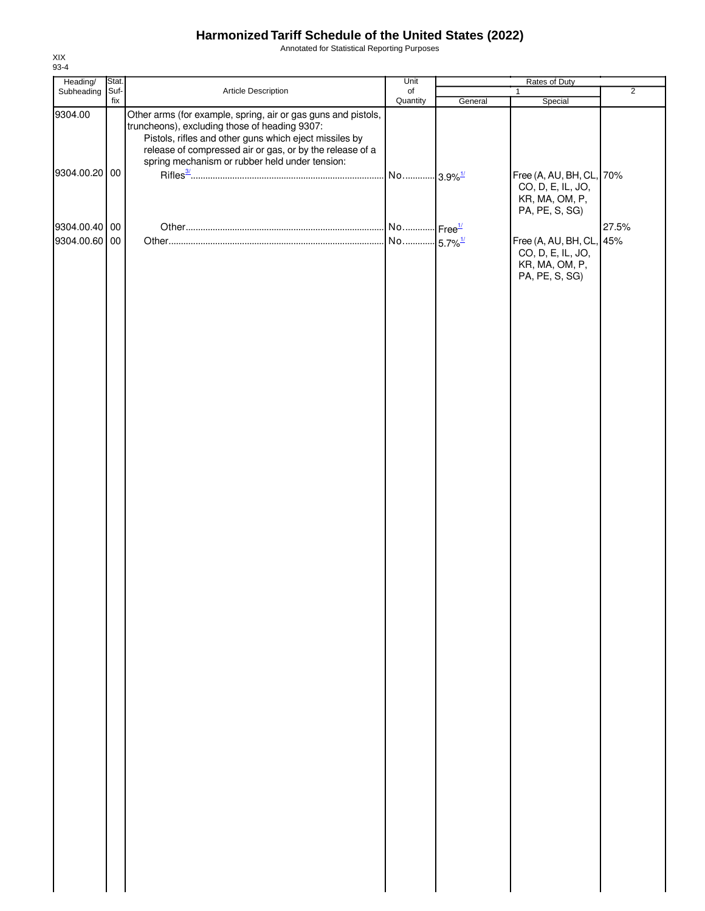Annotated for Statistical Reporting Purposes

| Heading/                       | Stat.       |                                                                                                                                                                                                                                                                                        | Unit           |                        | Rates of Duty                                                                     |                |
|--------------------------------|-------------|----------------------------------------------------------------------------------------------------------------------------------------------------------------------------------------------------------------------------------------------------------------------------------------|----------------|------------------------|-----------------------------------------------------------------------------------|----------------|
| Subheading                     | Suf-<br>fix | Article Description                                                                                                                                                                                                                                                                    | of<br>Quantity | General                | Special                                                                           | $\overline{2}$ |
| 9304.00                        |             | Other arms (for example, spring, air or gas guns and pistols,<br>truncheons), excluding those of heading 9307:<br>Pistols, rifles and other guns which eject missiles by<br>release of compressed air or gas, or by the release of a<br>spring mechanism or rubber held under tension: |                |                        |                                                                                   |                |
| 9304.00.20 00                  |             |                                                                                                                                                                                                                                                                                        | . No           | $-3.9\%$ <sup>1/</sup> | Free (A, AU, BH, CL, 70%<br>CO, D, E, IL, JO,<br>KR, MA, OM, P,<br>PA, PE, S, SG) |                |
|                                |             |                                                                                                                                                                                                                                                                                        |                |                        |                                                                                   |                |
| 9304.00.40 00<br>9304.00.60 00 |             |                                                                                                                                                                                                                                                                                        |                |                        | Free (A, AU, BH, CL, 45%<br>CO, D, E, IL, JO,<br>KR, MA, OM, P,<br>PA, PE, S, SG) | 27.5%          |
|                                |             |                                                                                                                                                                                                                                                                                        |                |                        |                                                                                   |                |
|                                |             |                                                                                                                                                                                                                                                                                        |                |                        |                                                                                   |                |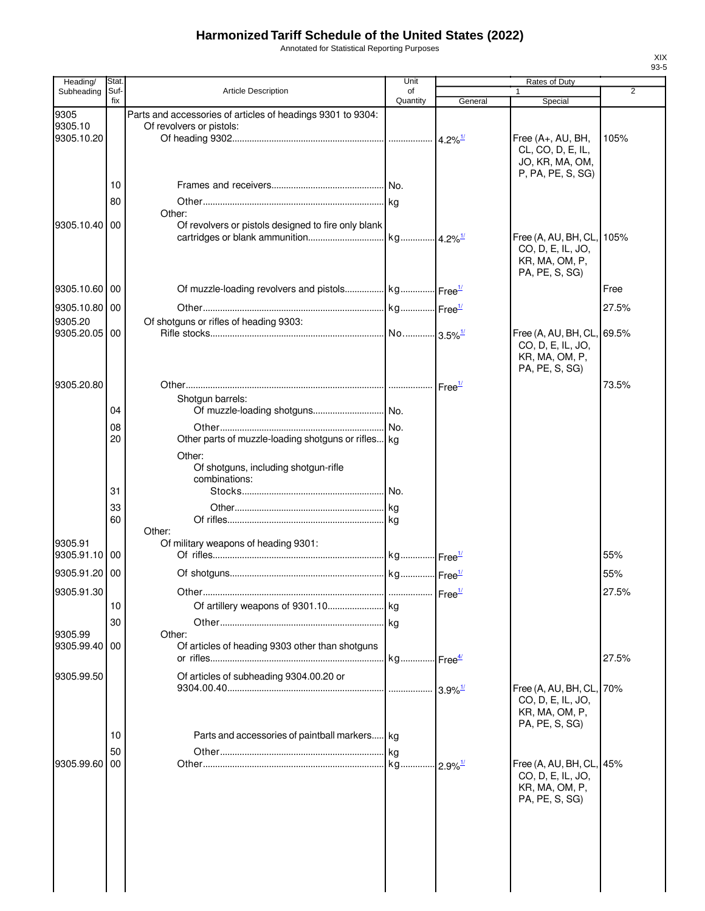Annotated for Statistical Reporting Purposes

| Heading/              | Stat.       |                                                               | Unit                        |                       | Rates of Duty                                  |       |
|-----------------------|-------------|---------------------------------------------------------------|-----------------------------|-----------------------|------------------------------------------------|-------|
| Subheading            | Suf-<br>fix | <b>Article Description</b>                                    | of<br>Quantity              | General               | Special                                        | 2     |
| 9305                  |             | Parts and accessories of articles of headings 9301 to 9304:   |                             |                       |                                                |       |
| 9305.10               |             | Of revolvers or pistols:                                      |                             |                       |                                                |       |
| 9305.10.20            |             |                                                               |                             | $4.2\%$ <sup>1/</sup> | Free (A+, AU, BH,                              | 105%  |
|                       |             |                                                               |                             |                       | CL, CO, D, E, IL,<br>JO, KR, MA, OM,           |       |
|                       |             |                                                               |                             |                       | P, PA, PE, S, SG)                              |       |
|                       | 10          |                                                               |                             |                       |                                                |       |
|                       | 80          |                                                               |                             |                       |                                                |       |
|                       |             | Other:                                                        |                             |                       |                                                |       |
| 9305.10.40            | 00          | Of revolvers or pistols designed to fire only blank           |                             |                       |                                                |       |
|                       |             |                                                               |                             |                       | Free (A, AU, BH, CL, 105%<br>CO, D, E, IL, JO, |       |
|                       |             |                                                               |                             |                       | KR, MA, OM, P,                                 |       |
|                       |             |                                                               |                             |                       | PA, PE, S, SG)                                 |       |
| 9305.10.60 00         |             | Of muzzle-loading revolvers and pistols kg Free <sup>1/</sup> |                             |                       |                                                | Free  |
| 9305.10.80 00         |             |                                                               |                             |                       |                                                | 27.5% |
| 9305.20               |             | Of shotguns or rifles of heading 9303:                        |                             |                       |                                                |       |
| 9305.20.05 00         |             |                                                               | No  3.5% <sup>1/</sup>      |                       | Free (A, AU, BH, CL, 69.5%                     |       |
|                       |             |                                                               |                             |                       | CO, D, E, IL, JO,                              |       |
|                       |             |                                                               |                             |                       | KR, MA, OM, P,                                 |       |
|                       |             |                                                               |                             |                       | PA, PE, S, SG)                                 |       |
| 9305.20.80            |             |                                                               |                             | ⊶ l Free <del>™</del> |                                                | 73.5% |
|                       |             | Shotgun barrels:                                              |                             |                       |                                                |       |
|                       | 04          |                                                               |                             |                       |                                                |       |
|                       | 08          |                                                               |                             |                       |                                                |       |
|                       | 20          | Other parts of muzzle-loading shotguns or rifles kg           |                             |                       |                                                |       |
|                       |             | Other:<br>Of shotguns, including shotgun-rifle                |                             |                       |                                                |       |
|                       |             | combinations:                                                 |                             |                       |                                                |       |
|                       | 31          |                                                               | No.                         |                       |                                                |       |
|                       | 33          |                                                               |                             |                       |                                                |       |
|                       | 60          |                                                               |                             |                       |                                                |       |
| 9305.91               |             | Other:                                                        |                             |                       |                                                |       |
| 9305.91.10 00         |             | Of military weapons of heading 9301:                          |                             |                       |                                                | 55%   |
|                       |             |                                                               |                             |                       |                                                |       |
| 9305.91.20            | 00          |                                                               |                             |                       |                                                | 55%   |
| 9305.91.30            |             |                                                               |                             |                       |                                                | 27.5% |
|                       | 10          |                                                               |                             |                       |                                                |       |
|                       | 30          |                                                               |                             |                       |                                                |       |
| 9305.99<br>9305.99.40 |             | Other:<br>Of articles of heading 9303 other than shotguns     |                             |                       |                                                |       |
|                       | 00          |                                                               | kg Free <sup>4/</sup>       |                       |                                                | 27.5% |
|                       |             | Of articles of subheading 9304.00.20 or                       |                             |                       |                                                |       |
| 9305.99.50            |             |                                                               |                             |                       | Free (A, AU, BH, CL,                           | 70%   |
|                       |             |                                                               |                             |                       | CO, D, E, IL, JO,                              |       |
|                       |             |                                                               |                             |                       | KR, MA, OM, P,                                 |       |
|                       | 10          | Parts and accessories of paintball markers kg                 |                             |                       | PA, PE, S, SG)                                 |       |
|                       |             |                                                               |                             |                       |                                                |       |
| 9305.99.60            | 50<br>00    |                                                               | kg<br>kg 2.9% <sup>1/</sup> |                       | Free (A, AU, BH, CL, 45%                       |       |
|                       |             |                                                               |                             |                       | CO, D, E, IL, JO,                              |       |
|                       |             |                                                               |                             |                       | KR, MA, OM, P,                                 |       |
|                       |             |                                                               |                             |                       | PA, PE, S, SG)                                 |       |
|                       |             |                                                               |                             |                       |                                                |       |
|                       |             |                                                               |                             |                       |                                                |       |
|                       |             |                                                               |                             |                       |                                                |       |
|                       |             |                                                               |                             |                       |                                                |       |
|                       |             |                                                               |                             |                       |                                                |       |
|                       |             |                                                               |                             |                       |                                                |       |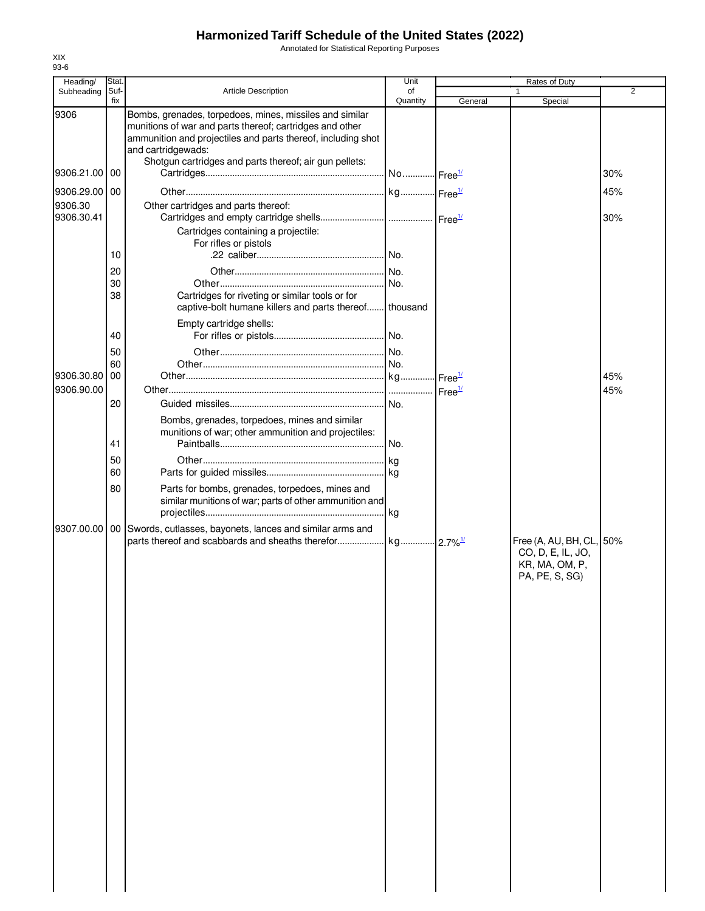Annotated for Statistical Reporting Purposes

| Heading/                               | Stat.       |                                                                                                                                                                                                                                                                     | Unit                  |                    | Rates of Duty                                                                     |            |
|----------------------------------------|-------------|---------------------------------------------------------------------------------------------------------------------------------------------------------------------------------------------------------------------------------------------------------------------|-----------------------|--------------------|-----------------------------------------------------------------------------------|------------|
| Subheading                             | Suf-<br>fix | <b>Article Description</b>                                                                                                                                                                                                                                          | of<br>Quantity        | General            | Special                                                                           | 2          |
| 9306<br>9306.21.00 00                  |             | Bombs, grenades, torpedoes, mines, missiles and similar<br>munitions of war and parts thereof; cartridges and other<br>ammunition and projectiles and parts thereof, including shot<br>and cartridgewads:<br>Shotgun cartridges and parts thereof; air gun pellets: | No Free <sup>1/</sup> |                    |                                                                                   | 30%        |
|                                        |             |                                                                                                                                                                                                                                                                     |                       |                    |                                                                                   |            |
| 9306.29.00 00<br>9306.30<br>9306.30.41 |             | Other cartridges and parts thereof:<br>Cartridges containing a projectile:                                                                                                                                                                                          |                       |                    |                                                                                   | 45%<br>30% |
|                                        | 10          | For rifles or pistols                                                                                                                                                                                                                                               |                       |                    |                                                                                   |            |
|                                        | 20          |                                                                                                                                                                                                                                                                     |                       |                    |                                                                                   |            |
|                                        | 30          |                                                                                                                                                                                                                                                                     |                       |                    |                                                                                   |            |
|                                        | 38          | Cartridges for riveting or similar tools or for<br>captive-bolt humane killers and parts thereof                                                                                                                                                                    | thousand              |                    |                                                                                   |            |
|                                        | 40          | Empty cartridge shells:                                                                                                                                                                                                                                             |                       |                    |                                                                                   |            |
|                                        | 50          |                                                                                                                                                                                                                                                                     |                       |                    |                                                                                   |            |
|                                        | 60          |                                                                                                                                                                                                                                                                     |                       |                    |                                                                                   |            |
| 9306.30.80                             | 00          |                                                                                                                                                                                                                                                                     |                       |                    |                                                                                   | 45%        |
| 9306.90.00                             |             |                                                                                                                                                                                                                                                                     |                       | Free <sup>1/</sup> |                                                                                   | 45%        |
|                                        | 20          |                                                                                                                                                                                                                                                                     | No.                   |                    |                                                                                   |            |
|                                        | 41          | Bombs, grenades, torpedoes, mines and similar<br>munitions of war; other ammunition and projectiles:                                                                                                                                                                | .I No.                |                    |                                                                                   |            |
|                                        | 50          |                                                                                                                                                                                                                                                                     |                       |                    |                                                                                   |            |
|                                        | 60          |                                                                                                                                                                                                                                                                     |                       |                    |                                                                                   |            |
|                                        | 80          | Parts for bombs, grenades, torpedoes, mines and<br>similar munitions of war; parts of other ammunition and                                                                                                                                                          |                       |                    |                                                                                   |            |
| 9307.00.00                             |             | 00 Swords, cutlasses, bayonets, lances and similar arms and                                                                                                                                                                                                         |                       |                    | Free (A, AU, BH, CL, 50%<br>CO, D, E, IL, JO,<br>KR, MA, OM, P,<br>PA, PE, S, SG) |            |